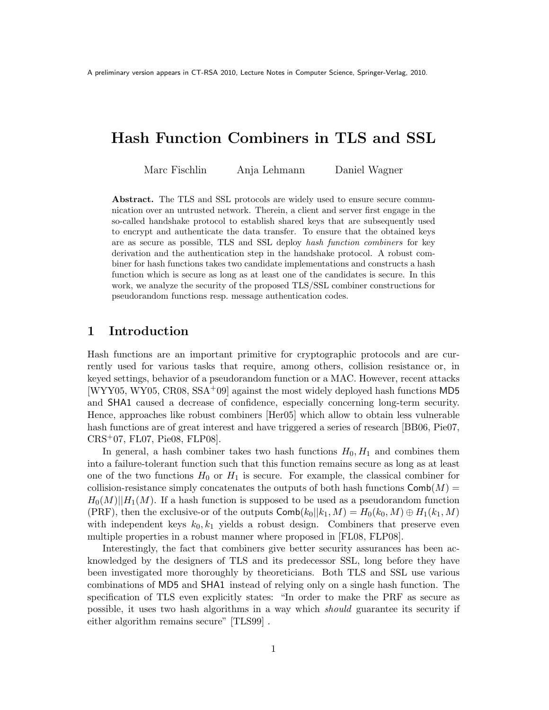# Hash Function Combiners in TLS and SSL

Marc Fischlin Anja Lehmann Daniel Wagner

Abstract. The TLS and SSL protocols are widely used to ensure secure communication over an untrusted network. Therein, a client and server first engage in the so-called handshake protocol to establish shared keys that are subsequently used to encrypt and authenticate the data transfer. To ensure that the obtained keys are as secure as possible, TLS and SSL deploy hash function combiners for key derivation and the authentication step in the handshake protocol. A robust combiner for hash functions takes two candidate implementations and constructs a hash function which is secure as long as at least one of the candidates is secure. In this work, we analyze the security of the proposed TLS/SSL combiner constructions for pseudorandom functions resp. message authentication codes.

## 1 Introduction

Hash functions are an important primitive for cryptographic protocols and are currently used for various tasks that require, among others, collision resistance or, in keyed settings, behavior of a pseudorandom function or a MAC. However, recent attacks  $[WYY05, WY05, CR08, SSA<sup>+</sup>09]$  against the most widely deployed hash functions MD5 and SHA1 caused a decrease of confidence, especially concerning long-term security. Hence, approaches like robust combiners [Her05] which allow to obtain less vulnerable hash functions are of great interest and have triggered a series of research [BB06, Pie07, CRS+07, FL07, Pie08, FLP08].

In general, a hash combiner takes two hash functions  $H_0, H_1$  and combines them into a failure-tolerant function such that this function remains secure as long as at least one of the two functions  $H_0$  or  $H_1$  is secure. For example, the classical combiner for collision-resistance simply concatenates the outputs of both hash functions  $Comb(M)$  =  $H_0(M)||H_1(M)$ . If a hash function is supposed to be used as a pseudorandom function (PRF), then the exclusive-or of the outputs  $\text{Comb}(k_0||k_1, M) = H_0(k_0, M) \oplus H_1(k_1, M)$ with independent keys  $k_0, k_1$  yields a robust design. Combiners that preserve even multiple properties in a robust manner where proposed in [FL08, FLP08].

Interestingly, the fact that combiners give better security assurances has been acknowledged by the designers of TLS and its predecessor SSL, long before they have been investigated more thoroughly by theoreticians. Both TLS and SSL use various combinations of MD5 and SHA1 instead of relying only on a single hash function. The specification of TLS even explicitly states: "In order to make the PRF as secure as possible, it uses two hash algorithms in a way which should guarantee its security if either algorithm remains secure" [TLS99].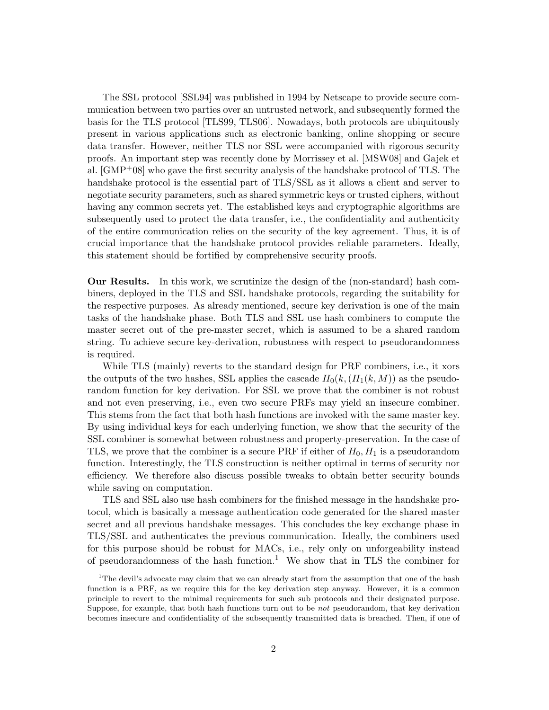The SSL protocol [SSL94] was published in 1994 by Netscape to provide secure communication between two parties over an untrusted network, and subsequently formed the basis for the TLS protocol [TLS99, TLS06]. Nowadays, both protocols are ubiquitously present in various applications such as electronic banking, online shopping or secure data transfer. However, neither TLS nor SSL were accompanied with rigorous security proofs. An important step was recently done by Morrissey et al. [MSW08] and Gajek et al. [GMP+08] who gave the first security analysis of the handshake protocol of TLS. The handshake protocol is the essential part of TLS/SSL as it allows a client and server to negotiate security parameters, such as shared symmetric keys or trusted ciphers, without having any common secrets yet. The established keys and cryptographic algorithms are subsequently used to protect the data transfer, i.e., the confidentiality and authenticity of the entire communication relies on the security of the key agreement. Thus, it is of crucial importance that the handshake protocol provides reliable parameters. Ideally, this statement should be fortified by comprehensive security proofs.

Our Results. In this work, we scrutinize the design of the (non-standard) hash combiners, deployed in the TLS and SSL handshake protocols, regarding the suitability for the respective purposes. As already mentioned, secure key derivation is one of the main tasks of the handshake phase. Both TLS and SSL use hash combiners to compute the master secret out of the pre-master secret, which is assumed to be a shared random string. To achieve secure key-derivation, robustness with respect to pseudorandomness is required.

While TLS (mainly) reverts to the standard design for PRF combiners, i.e., it xors the outputs of the two hashes, SSL applies the cascade  $H_0(k, (H_1(k, M))$  as the pseudorandom function for key derivation. For SSL we prove that the combiner is not robust and not even preserving, i.e., even two secure PRFs may yield an insecure combiner. This stems from the fact that both hash functions are invoked with the same master key. By using individual keys for each underlying function, we show that the security of the SSL combiner is somewhat between robustness and property-preservation. In the case of TLS, we prove that the combiner is a secure PRF if either of  $H_0$ ,  $H_1$  is a pseudorandom function. Interestingly, the TLS construction is neither optimal in terms of security nor efficiency. We therefore also discuss possible tweaks to obtain better security bounds while saving on computation.

TLS and SSL also use hash combiners for the finished message in the handshake protocol, which is basically a message authentication code generated for the shared master secret and all previous handshake messages. This concludes the key exchange phase in TLS/SSL and authenticates the previous communication. Ideally, the combiners used for this purpose should be robust for MACs, i.e., rely only on unforgeability instead of pseudorandomness of the hash function.<sup>1</sup> We show that in TLS the combiner for

<sup>&</sup>lt;sup>1</sup>The devil's advocate may claim that we can already start from the assumption that one of the hash function is a PRF, as we require this for the key derivation step anyway. However, it is a common principle to revert to the minimal requirements for such sub protocols and their designated purpose. Suppose, for example, that both hash functions turn out to be not pseudorandom, that key derivation becomes insecure and confidentiality of the subsequently transmitted data is breached. Then, if one of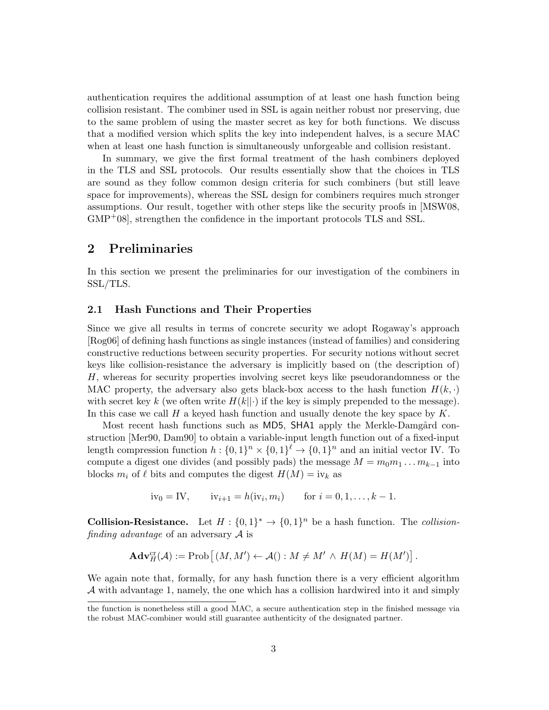authentication requires the additional assumption of at least one hash function being collision resistant. The combiner used in SSL is again neither robust nor preserving, due to the same problem of using the master secret as key for both functions. We discuss that a modified version which splits the key into independent halves, is a secure MAC when at least one hash function is simultaneously unforgeable and collision resistant.

In summary, we give the first formal treatment of the hash combiners deployed in the TLS and SSL protocols. Our results essentially show that the choices in TLS are sound as they follow common design criteria for such combiners (but still leave space for improvements), whereas the SSL design for combiners requires much stronger assumptions. Our result, together with other steps like the security proofs in [MSW08,  $GMP<sup>+</sup>08$ , strengthen the confidence in the important protocols TLS and SSL.

## 2 Preliminaries

In this section we present the preliminaries for our investigation of the combiners in SSL/TLS.

#### 2.1 Hash Functions and Their Properties

Since we give all results in terms of concrete security we adopt Rogaway's approach [Rog06] of defining hash functions as single instances (instead of families) and considering constructive reductions between security properties. For security notions without secret keys like collision-resistance the adversary is implicitly based on (the description of)  $H$ , whereas for security properties involving secret keys like pseudorandomness or the MAC property, the adversary also gets black-box access to the hash function  $H(k, \cdot)$ with secret key k (we often write  $H(k||\cdot)$  if the key is simply prepended to the message). In this case we call  $H$  a keyed hash function and usually denote the key space by  $K$ .

Most recent hash functions such as MD5, SHA1 apply the Merkle-Damgård construction [Mer90, Dam90] to obtain a variable-input length function out of a fixed-input length compression function  $h: \{0,1\}^n \times \{0,1\}^{\ell} \to \{0,1\}^n$  and an initial vector IV. To compute a digest one divides (and possibly pads) the message  $M = m_0 m_1 \dots m_{k-1}$  into blocks  $m_i$  of  $\ell$  bits and computes the digest  $H(M) = i v_k$  as

$$
iv_0 = IV
$$
,  $iv_{i+1} = h(iv_i, m_i)$  for  $i = 0, 1, ..., k - 1$ .

**Collision-Resistance.** Let  $H: \{0,1\}^* \to \{0,1\}^n$  be a hash function. The *collision*finding advantage of an adversary  $A$  is

$$
\mathbf{Adv}_{H}^{\mathrm{cr}}(\mathcal{A}) := \mathrm{Prob}\left[ \left( M, M' \right) \leftarrow \mathcal{A}(\right) : M \neq M' \wedge H(M) = H(M') \right].
$$

We again note that, formally, for any hash function there is a very efficient algorithm  $\mathcal A$  with advantage 1, namely, the one which has a collision hardwired into it and simply

the function is nonetheless still a good MAC, a secure authentication step in the finished message via the robust MAC-combiner would still guarantee authenticity of the designated partner.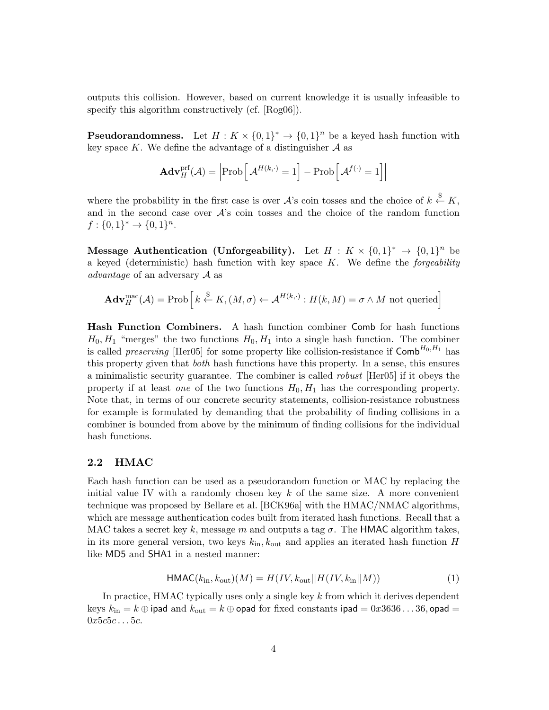outputs this collision. However, based on current knowledge it is usually infeasible to specify this algorithm constructively (cf. [Rog06]).

**Pseudorandomness.** Let  $H: K \times \{0,1\}^* \to \{0,1\}^n$  be a keyed hash function with key space  $K$ . We define the advantage of a distinguisher  $A$  as

$$
\mathbf{Adv}_{H}^{\text{prf}}(\mathcal{A}) = \left| \text{Prob}\left[\mathcal{A}^{H(k,\cdot)} = 1\right] - \text{Prob}\left[\mathcal{A}^{f(\cdot)} = 1\right] \right|
$$

where the probability in the first case is over  $\mathcal{A}$ 's coin tosses and the choice of  $k \overset{\$}{\leftarrow} K$ , and in the second case over  $\mathcal{A}$ 's coin tosses and the choice of the random function  $f: \{0,1\}^* \to \{0,1\}^n$ .

Message Authentication (Unforgeability). Let  $H: K \times \{0,1\}^* \to \{0,1\}^n$  be a keyed (deterministic) hash function with key space  $K$ . We define the *forgeability* advantage of an adversary  $\mathcal A$  as

$$
\mathbf{Adv}_{H}^{\text{mac}}(\mathcal{A}) = \text{Prob}\left[k \stackrel{\$}{\leftarrow} K, (M, \sigma) \leftarrow \mathcal{A}^{H(k, \cdot)} : H(k, M) = \sigma \wedge M \text{ not queried}\right]
$$

Hash Function Combiners. A hash function combiner Comb for hash functions  $H_0, H_1$  "merges" the two functions  $H_0, H_1$  into a single hash function. The combiner is called *preserving* [Her05] for some property like collision-resistance if  $\text{Comb}^{H_0,H_1}$  has this property given that both hash functions have this property. In a sense, this ensures a minimalistic security guarantee. The combiner is called robust [Her05] if it obeys the property if at least *one* of the two functions  $H_0, H_1$  has the corresponding property. Note that, in terms of our concrete security statements, collision-resistance robustness for example is formulated by demanding that the probability of finding collisions in a combiner is bounded from above by the minimum of finding collisions for the individual hash functions.

#### 2.2 HMAC

Each hash function can be used as a pseudorandom function or MAC by replacing the initial value IV with a randomly chosen key  $k$  of the same size. A more convenient technique was proposed by Bellare et al. [BCK96a] with the HMAC/NMAC algorithms, which are message authentication codes built from iterated hash functions. Recall that a MAC takes a secret key k, message m and outputs a tag  $\sigma$ . The HMAC algorithm takes, in its more general version, two keys  $k_{\text{in}}$ ,  $k_{\text{out}}$  and applies an iterated hash function H like MD5 and SHA1 in a nested manner:

$$
\text{HMAC}(k_{\text{in}}, k_{\text{out}})(M) = H(IV, k_{\text{out}}||H(IV, k_{\text{in}}||M))
$$
\n(1)

In practice, HMAC typically uses only a single key  $k$  from which it derives dependent keys  $k_{\rm in} = k \oplus$  ipad and  $k_{\rm out} = k \oplus$  opad for fixed constants ipad  $= 0x3636\ldots36$ , opad  $=$  $0x5c5c...5c.$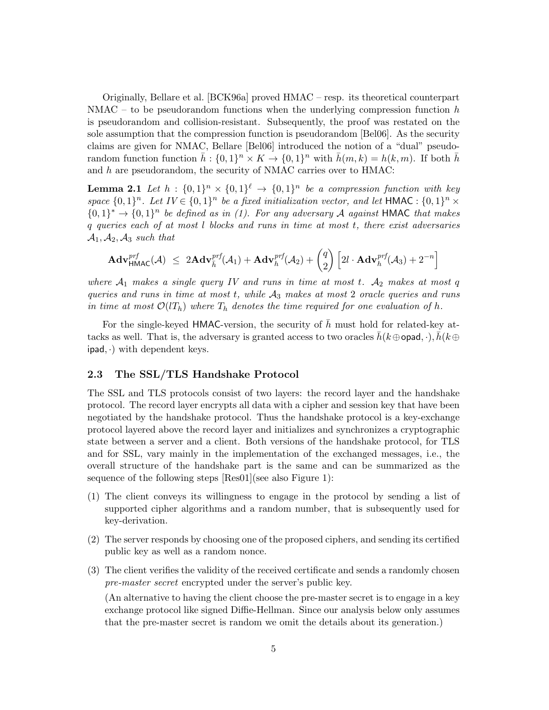Originally, Bellare et al. [BCK96a] proved HMAC – resp. its theoretical counterpart  $NMAC - to be pseudorandom functions when the underlying compression function  $h$$ is pseudorandom and collision-resistant. Subsequently, the proof was restated on the sole assumption that the compression function is pseudorandom [Bel06]. As the security claims are given for NMAC, Bellare [Bel06] introduced the notion of a "dual" pseudorandom function function  $\bar{h}: \{0,1\}^n \times K \to \{0,1\}^n$  with  $\bar{h}(m,k) = h(k,m)$ . If both  $\bar{h}$ and  $h$  are pseudorandom, the security of NMAC carries over to HMAC:

**Lemma 2.1** Let  $h: \{0,1\}^n \times \{0,1\}^{\ell} \rightarrow \{0,1\}^n$  be a compression function with key space  $\{0,1\}^n$ . Let  $IV \in \{0,1\}^n$  be a fixed initialization vector, and let HMAC :  $\{0,1\}^n \times$  ${0,1}^* \rightarrow {0,1}^n$  be defined as in (1). For any adversary A against HMAC that makes  $q$  queries each of at most  $l$  blocks and runs in time at most  $t$ , there exist adversaries  $\mathcal{A}_1, \mathcal{A}_2, \mathcal{A}_3$  such that

$$
\mathbf{Adv}_{\mathsf{HMAC}}^{prf}(\mathcal{A}) \ \leq \ 2\mathbf{Adv}_{\bar{h}}^{prf}(\mathcal{A}_1) + \mathbf{Adv}_{h}^{prf}(\mathcal{A}_2) + \begin{pmatrix} q \\ 2 \end{pmatrix} \left[ 2l \cdot \mathbf{Adv}_{h}^{prf}(\mathcal{A}_3) + 2^{-n} \right]
$$

where  $A_1$  makes a single query IV and runs in time at most t.  $A_2$  makes at most q queries and runs in time at most  $t$ , while  $A_3$  makes at most 2 oracle queries and runs in time at most  $\mathcal{O}(l_i)$  where  $T_h$  denotes the time required for one evaluation of h.

For the single-keyed HMAC-version, the security of  $\bar{h}$  must hold for related-key attacks as well. That is, the adversary is granted access to two oracles  $\bar{h}(k \oplus \text{opad}, \cdot), \bar{h}(k \oplus$  $ipad, \cdot$ ) with dependent keys.

#### 2.3 The SSL/TLS Handshake Protocol

The SSL and TLS protocols consist of two layers: the record layer and the handshake protocol. The record layer encrypts all data with a cipher and session key that have been negotiated by the handshake protocol. Thus the handshake protocol is a key-exchange protocol layered above the record layer and initializes and synchronizes a cryptographic state between a server and a client. Both versions of the handshake protocol, for TLS and for SSL, vary mainly in the implementation of the exchanged messages, i.e., the overall structure of the handshake part is the same and can be summarized as the sequence of the following steps [Res01](see also Figure 1):

- (1) The client conveys its willingness to engage in the protocol by sending a list of supported cipher algorithms and a random number, that is subsequently used for key-derivation.
- (2) The server responds by choosing one of the proposed ciphers, and sending its certified public key as well as a random nonce.
- (3) The client verifies the validity of the received certificate and sends a randomly chosen pre-master secret encrypted under the server's public key.

(An alternative to having the client choose the pre-master secret is to engage in a key exchange protocol like signed Diffie-Hellman. Since our analysis below only assumes that the pre-master secret is random we omit the details about its generation.)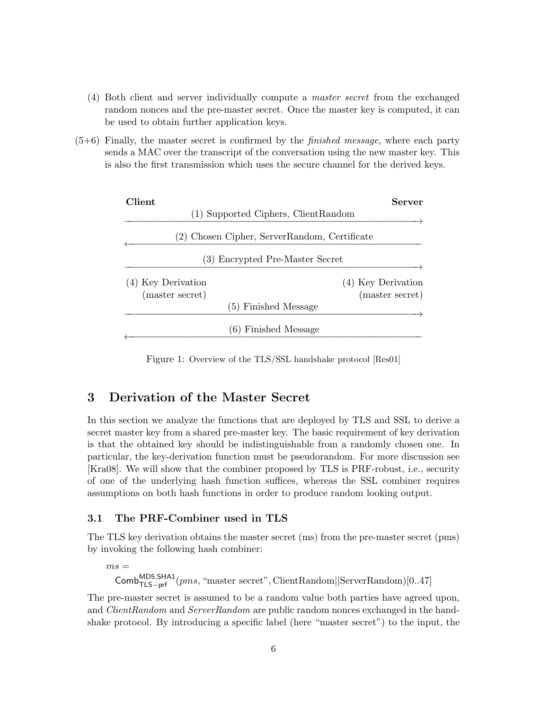- (4) Both client and server individually compute a master secret from the exchanged random nonces and the pre-master secret. Once the master key is computed, it can be used to obtain further application keys.
- $(5+6)$  Finally, the master secret is confirmed by the *finished message*, where each party sends a MAC over the transcript of the conversation using the new master key. This is also the first transmission which uses the secure channel for the derived keys.

| Client.                         | Server                                       |  |
|---------------------------------|----------------------------------------------|--|
|                                 | (1) Supported Ciphers, ClientRandom          |  |
|                                 | (2) Chosen Cipher, ServerRandom, Certificate |  |
| (3) Encrypted Pre-Master Secret |                                              |  |
| (4) Key Derivation              | (4) Key Derivation                           |  |
| (master secret)                 | (master secret)                              |  |
|                                 | (5) Finished Message                         |  |
|                                 | (6) Finished Message                         |  |

Figure 1: Overview of the TLS/SSL handshake protocol [Res01]

## 3 Derivation of the Master Secret

In this section we analyze the functions that are deployed by TLS and SSL to derive a secret master key from a shared pre-master key. The basic requirement of key derivation is that the obtained key should be indistinguishable from a randomly chosen one. In particular, the key-derivation function must be pseudorandom. For more discussion see [Kra08]. We will show that the combiner proposed by TLS is PRF-robust, i.e., security of one of the underlying hash function suffices, whereas the SSL combiner requires assumptions on both hash functions in order to produce random looking output.

#### 3.1 The PRF-Combiner used in TLS

The TLS key derivation obtains the master secret (ms) from the pre-master secret (pms) by invoking the following hash combiner:

 $ms =$  $\textsf{Comb}_{\textsf{TLS}-\textsf{prf}}^{\textsf{MD5},\textsf{SHA1}}(pms, \text{``master secret''}, \textsf{ClientRandom}||\textsf{ServerRandom})[0..47]$ 

The pre-master secret is assumed to be a random value both parties have agreed upon, and *ClientRandom* and *ServerRandom* are public random nonces exchanged in the handshake protocol. By introducing a specific label (here "master secret") to the input, the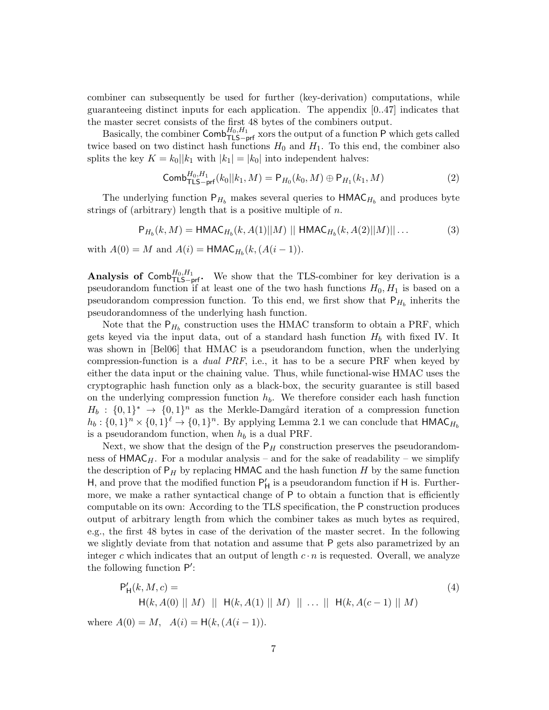combiner can subsequently be used for further (key-derivation) computations, while guaranteeing distinct inputs for each application. The appendix [0..47] indicates that the master secret consists of the first 48 bytes of the combiners output.

Basically, the combiner  $\mathsf{Comb}_{\mathsf{TLS}-\mathsf{prf}}^{H_0,H_1}$  xors the output of a function P which gets called twice based on two distinct hash functions  $H_0$  and  $H_1$ . To this end, the combiner also splits the key  $K = k_0||k_1$  with  $|k_1| = |k_0|$  into independent halves:

$$
\text{Comb}_{\text{TLS}-\text{prf}}^{H_0,H_1}(k_0||k_1,M) = \mathsf{P}_{H_0}(k_0,M) \oplus \mathsf{P}_{H_1}(k_1,M) \tag{2}
$$

The underlying function  $P_{H_b}$  makes several queries to  $HMAC_{H_b}$  and produces byte strings of (arbitrary) length that is a positive multiple of  $n$ .

$$
P_{H_b}(k, M) = \text{HMAC}_{H_b}(k, A(1)||M) || \text{HMAC}_{H_b}(k, A(2)||M) || \dots
$$
 (3)

with  $A(0) = M$  and  $A(i) = \text{HMAC}_{H_b}(k, (A(i-1))).$ 

Analysis of Comb<sup>H<sub>0</sub>,H<sub>1</sub></sub>. We show that the TLS-combiner for key derivation is a</sup> pseudorandom function if at least one of the two hash functions  $H_0, H_1$  is based on a pseudorandom compression function. To this end, we first show that  $P_{H_b}$  inherits the pseudorandomness of the underlying hash function.

Note that the  $P_{H_b}$  construction uses the HMAC transform to obtain a PRF, which gets keyed via the input data, out of a standard hash function  $H<sub>b</sub>$  with fixed IV. It was shown in [Bel06] that HMAC is a pseudorandom function, when the underlying compression-function is a *dual PRF*, i.e., it has to be a secure PRF when keyed by either the data input or the chaining value. Thus, while functional-wise HMAC uses the cryptographic hash function only as a black-box, the security guarantee is still based on the underlying compression function  $h_b$ . We therefore consider each hash function  $H_b: \{0,1\}^* \to \{0,1\}^n$  as the Merkle-Damgård iteration of a compression function  $h_b: \{0,1\}^n \times \{0,1\}^{\ell} \to \{0,1\}^n$ . By applying Lemma 2.1 we can conclude that  $\mathsf{HMAC}_{H_b}$ is a pseudorandom function, when  $h_b$  is a dual PRF.

Next, we show that the design of the  $P_H$  construction preserves the pseudorandomness of  $HMAC_H$ . For a modular analysis – and for the sake of readability – we simplify the description of  $P_H$  by replacing HMAC and the hash function H by the same function H, and prove that the modified function  $P'_{H}$  is a pseudorandom function if H is. Furthermore, we make a rather syntactical change of P to obtain a function that is efficiently computable on its own: According to the TLS specification, the P construction produces output of arbitrary length from which the combiner takes as much bytes as required, e.g., the first 48 bytes in case of the derivation of the master secret. In the following we slightly deviate from that notation and assume that P gets also parametrized by an integer c which indicates that an output of length  $c \cdot n$  is requested. Overall, we analyze the following function P':

$$
P'_{H}(k, M, c) =
$$
  
\n
$$
H(k, A(0) || M) || H(k, A(1) || M) || ... || H(k, A(c-1) || M)
$$
  
\nwhere  $A(0) = M$ ,  $A(i) = H(k, (A(i-1))).$  (4)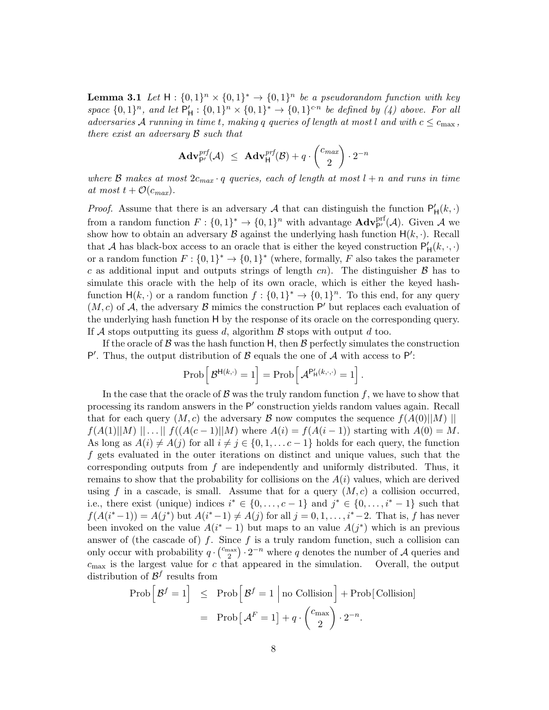**Lemma 3.1** Let  $H: \{0,1\}^n \times \{0,1\}^n \rightarrow \{0,1\}^n$  be a pseudorandom function with key space  $\{0,1\}^n$ , and let  $P'_H: \{0,1\}^n \times \{0,1\}^* \rightarrow \{0,1\}^{c \cdot n}$  be defined by (4) above. For all adversaries A running in time t, making q queries of length at most l and with  $c \leq c_{\text{max}}$ , there exist an adversary  $\beta$  such that

$$
\mathbf{Adv}_{\mathsf{P}'}^{prf}(\mathcal{A}) \leq \mathbf{Adv}_{\mathsf{H}}^{prf}(\mathcal{B}) + q \cdot {c_{max} \choose 2} \cdot 2^{-n}
$$

where B makes at most  $2c_{max} \cdot q$  queries, each of length at most  $l + n$  and runs in time at most  $t + \mathcal{O}(c_{max})$ .

*Proof.* Assume that there is an adversary A that can distinguish the function  $P'_{H}(k, \cdot)$ from a random function  $F: \{0,1\}^* \to \{0,1\}^n$  with advantage  $\mathbf{Adv}_{\mathsf{P}'}^{\text{prf}}(\mathcal{A})$ . Given  $\mathcal{A}$  we show how to obtain an adversary  $\beta$  against the underlying hash function  $H(k, \cdot)$ . Recall that A has black-box access to an oracle that is either the keyed construction  $P'_{\text{H}}(k, \cdot, \cdot)$ or a random function  $F: \{0,1\}^* \to \{0,1\}^*$  (where, formally, F also takes the parameter c as additional input and outputs strings of length  $cn$ ). The distinguisher  $\beta$  has to simulate this oracle with the help of its own oracle, which is either the keyed hashfunction  $H(k, \cdot)$  or a random function  $f: \{0,1\}^* \to \{0,1\}^n$ . To this end, for any query  $(M, c)$  of A, the adversary  $\beta$  mimics the construction P' but replaces each evaluation of the underlying hash function H by the response of its oracle on the corresponding query. If  $\mathcal A$  stops outputting its guess d, algorithm  $\mathcal B$  stops with output d too.

If the oracle of  $\beta$  was the hash function H, then  $\beta$  perfectly simulates the construction P'. Thus, the output distribution of  $\beta$  equals the one of  $\mathcal A$  with access to P':

$$
\operatorname{Prob}\left[\,\mathcal{B}^{\mathsf{H}(k,\cdot)}=1\right]=\operatorname{Prob}\left[\,\mathcal{A}^{\mathsf{P}'_{\mathsf{H}}(k,\cdot,\cdot)}=1\right].
$$

In the case that the oracle of  $\mathcal B$  was the truly random function  $f$ , we have to show that processing its random answers in the P' construction yields random values again. Recall that for each query  $(M, c)$  the adversary  $\mathcal B$  now computes the sequence  $f(A(0)||M)$  ||  $f(A(1)||M) ||...|| f((A(c-1)||M)$  where  $A(i) = f(A(i-1))$  starting with  $A(0) = M$ . As long as  $A(i) \neq A(j)$  for all  $i \neq j \in \{0, 1, \ldots c-1\}$  holds for each query, the function  $f$  gets evaluated in the outer iterations on distinct and unique values, such that the corresponding outputs from  $f$  are independently and uniformly distributed. Thus, it remains to show that the probability for collisions on the  $A(i)$  values, which are derived using f in a cascade, is small. Assume that for a query  $(M, c)$  a collision occurred, i.e., there exist (unique) indices  $i^* \in \{0, \ldots, c-1\}$  and  $j^* \in \{0, \ldots, i^* - 1\}$  such that  $f(A(i^*-1)) = A(j^*)$  but  $A(i^*-1) \neq A(j)$  for all  $j = 0, 1, \ldots, i^*-2$ . That is, f has never been invoked on the value  $A(i^*-1)$  but maps to an value  $A(j^*)$  which is an previous answer of (the cascade of) f. Since f is a truly random function, such a collision can only occur with probability  $q \cdot \binom{c_{\text{max}}}{2}$  $\binom{\text{max}}{2} \cdot 2^{-n}$  where q denotes the number of A queries and  $c_{\text{max}}$  is the largest value for c that appeared in the simulation. Overall, the output distribution of  $\mathcal{B}^f$  results from

$$
\text{Prob}\left[\mathcal{B}^f = 1\right] \leq \text{Prob}\left[\mathcal{B}^f = 1 \mid \text{no Collision}\right] + \text{Prob}\left[\text{Collision}\right]
$$

$$
= \text{Prob}\left[\mathcal{A}^F = 1\right] + q \cdot \binom{c_{\text{max}}}{2} \cdot 2^{-n}.
$$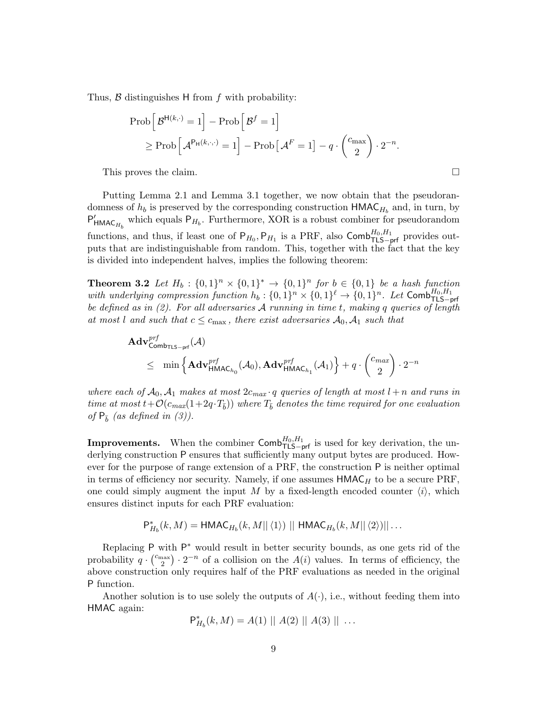Thus,  $\beta$  distinguishes H from  $f$  with probability:

$$
\text{Prob}\left[\mathcal{B}^{\mathsf{H}(k,\cdot)}=1\right] - \text{Prob}\left[\mathcal{B}^f=1\right]
$$

$$
\geq \text{Prob}\left[\mathcal{A}^{\mathsf{P}_{\mathsf{H}}(k,\cdot,\cdot)}=1\right] - \text{Prob}\left[\mathcal{A}^F=1\right] - q \cdot \binom{c_{\max}}{2} \cdot 2^{-n}.
$$

This proves the claim. □

Putting Lemma 2.1 and Lemma 3.1 together, we now obtain that the pseudorandomness of  $h_b$  is preserved by the corresponding construction  $HMAC_{H_b}$  and, in turn, by  $P'_{HMAC_{H_b}}$  which equals  $P_{H_b}$ . Furthermore, XOR is a robust combiner for pseudorandom functions, and thus, if least one of  $P_{H_0}, P_{H_1}$  is a PRF, also  $\textsf{Comb}_{\textsf{TLS-prf}}^{H_0,H_1}$  provides outputs that are indistinguishable from random. This, together with the fact that the key is divided into independent halves, implies the following theorem:

**Theorem 3.2** Let  $H_b: \{0,1\}^n \times \{0,1\}^n \rightarrow \{0,1\}^n$  for  $b \in \{0,1\}$  be a hash function with underlying compression function  $h_b: \{0,1\}^n \times \{0,1\}^{\ell} \to \{0,1\}^n$ . Let  $\textsf{Comb}^{H_0,H_1}_{\textsf{TLS-prf}}$ be defined as in  $(2)$ . For all adversaries A running in time t, making q queries of length at most l and such that  $c \leq c_{\text{max}}$ , there exist adversaries  $\mathcal{A}_0, \mathcal{A}_1$  such that

$$
\mathbf{Adv}_{\mathsf{Comb}_{\mathsf{TLS-prf}}^{prf}(\mathcal{A})
$$
\n
$$
\leq \min \left\{ \mathbf{Adv}_{\mathsf{HMAC}_{h_0}}^{prf}(\mathcal{A}_0), \mathbf{Adv}_{\mathsf{HMAC}_{h_1}}^{prf}(\mathcal{A}_1) \right\} + q \cdot {c_{max} \choose 2} \cdot 2^{-n}
$$

where each of  $A_0, A_1$  makes at most  $2c_{max} \cdot q$  queries of length at most  $l + n$  and runs in time at most  $t + \mathcal{O}(c_{max}(1+2q \cdot T_{\bar{b}}))$  where  $T_{\bar{b}}$  denotes the time required for one evaluation of  $P_{\overline{b}}$  (as defined in (3)).

**Improvements.** When the combiner  $\textsf{Comb}_{\textsf{TLS-prf}}^{H_0,H_1}$  is used for key derivation, the underlying construction P ensures that sufficiently many output bytes are produced. However for the purpose of range extension of a PRF, the construction P is neither optimal in terms of efficiency nor security. Namely, if one assumes  $HMAC_H$  to be a secure PRF, one could simply augment the input M by a fixed-length encoded counter  $\langle i \rangle$ , which ensures distinct inputs for each PRF evaluation:

$$
\mathsf{P}_{H_b}^*(k,M) = \mathsf{HMAC}_{H_b}(k,M||\langle 1 \rangle) || \mathsf{HMAC}_{H_b}(k,M||\langle 2 \rangle) || \dots
$$

Replacing P with P<sup>\*</sup> would result in better security bounds, as one gets rid of the probability  $q \cdot \binom{c_{\max}}{2}$  $\binom{\text{max}}{2} \cdot 2^{-n}$  of a collision on the  $A(i)$  values. In terms of efficiency, the above construction only requires half of the PRF evaluations as needed in the original P function.

Another solution is to use solely the outputs of  $A(\cdot)$ , i.e., without feeding them into HMAC again:

$$
\mathsf{P}_{H_b}^*(k,M) = A(1) || A(2) || A(3) || \ldots
$$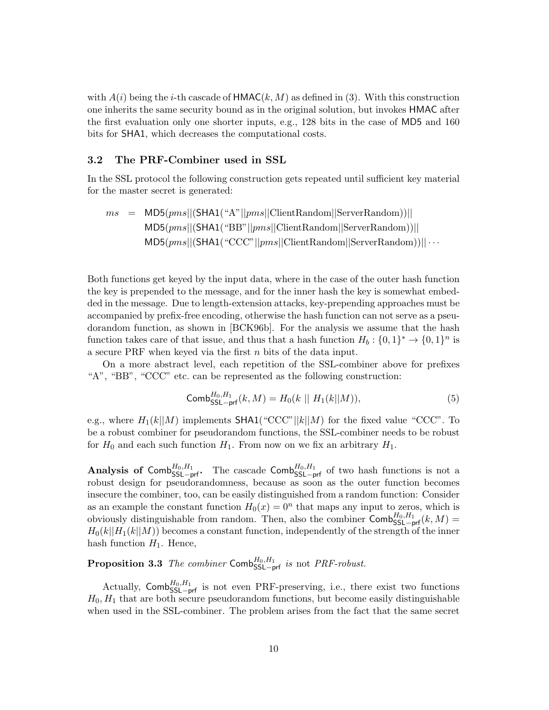with  $A(i)$  being the *i*-th cascade of  $HMAC(k, M)$  as defined in (3). With this construction one inherits the same security bound as in the original solution, but invokes HMAC after the first evaluation only one shorter inputs, e.g., 128 bits in the case of MD5 and 160 bits for SHA1, which decreases the computational costs.

#### 3.2 The PRF-Combiner used in SSL

In the SSL protocol the following construction gets repeated until sufficient key material for the master secret is generated:

$$
ms = MD5(pms||(SHA1("A"||pms||ClientRandom||ServerRandom))||
$$
  
\n
$$
MD5(pms||(SHA1("BB"||pms||ClientRandom||ServerRandom))||
$$
  
\n
$$
MD5(pms||(SHA1("CCC"||pms||ClientRandom||ServerRandom))|| \cdots
$$

Both functions get keyed by the input data, where in the case of the outer hash function the key is prepended to the message, and for the inner hash the key is somewhat embedded in the message. Due to length-extension attacks, key-prepending approaches must be accompanied by prefix-free encoding, otherwise the hash function can not serve as a pseudorandom function, as shown in [BCK96b]. For the analysis we assume that the hash function takes care of that issue, and thus that a hash function  $H_b: \{0,1\}^* \to \{0,1\}^n$  is a secure PRF when keyed via the first  $n$  bits of the data input.

On a more abstract level, each repetition of the SSL-combiner above for prefixes "A", "BB", "CCC" etc. can be represented as the following construction:

$$
\text{Comb}_{\text{SSL-prf}}^{H_0, H_1}(k, M) = H_0(k \mid H_1(k \mid M)),\tag{5}
$$

e.g., where  $H_1(k||M)$  implements SHA1("CCC"|| $k||M$ ) for the fixed value "CCC". To be a robust combiner for pseudorandom functions, the SSL-combiner needs to be robust for  $H_0$  and each such function  $H_1$ . From now on we fix an arbitrary  $H_1$ .

Analysis of Comb ${}_{SSL-prf}^{H_0,H_1}$ . The cascade Comb ${}_{SSL-prf}^{H_0,H_1}$  of two hash functions is not a robust design for pseudorandomness, because as soon as the outer function becomes insecure the combiner, too, can be easily distinguished from a random function: Consider as an example the constant function  $H_0(x) = 0<sup>n</sup>$  that maps any input to zeros, which is obviously distinguishable from random. Then, also the combiner  $\textsf{Comb}_{\textsf{SSL-prf}}^{H_0,H_1}(k,M)$  $H_0(k||H_1(k||M))$  becomes a constant function, independently of the strength of the inner hash function  $H_1$ . Hence,

**Proposition 3.3** The combiner Comb ${}_{\mathsf{SSL-prf}}^{H_0,H_1}$  is not PRF-robust.

Actually,  $\textsf{Comb}_{\textsf{SSL}-\textsf{prf}}^{H_0,H_1}$  is not even PRF-preserving, i.e., there exist two functions  $H_0, H_1$  that are both secure pseudorandom functions, but become easily distinguishable when used in the SSL-combiner. The problem arises from the fact that the same secret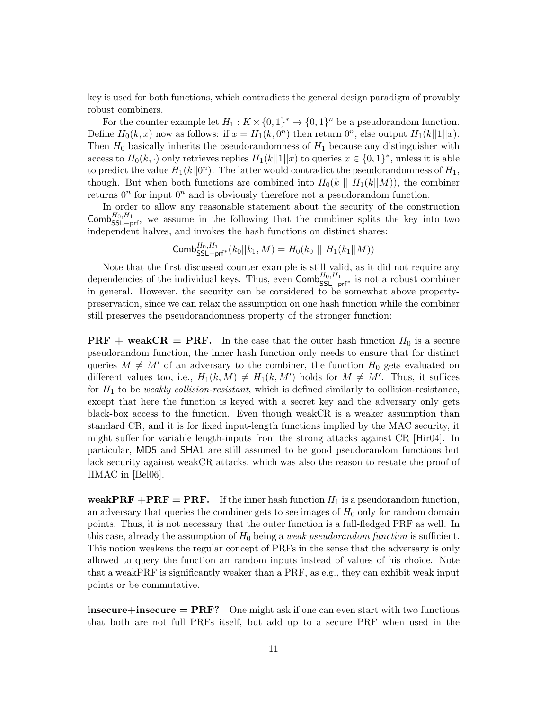key is used for both functions, which contradicts the general design paradigm of provably robust combiners.

For the counter example let  $H_1: K \times \{0,1\}^* \to \{0,1\}^n$  be a pseudorandom function. Define  $H_0(k, x)$  now as follows: if  $x = H_1(k, 0^n)$  then return  $0^n$ , else output  $H_1(k||1||x)$ . Then  $H_0$  basically inherits the pseudorandomness of  $H_1$  because any distinguisher with access to  $H_0(k, \cdot)$  only retrieves replies  $H_1(k||1||x)$  to queries  $x \in \{0, 1\}^*$ , unless it is able to predict the value  $H_1(k||0^n)$ . The latter would contradict the pseudorandomness of  $H_1$ , though. But when both functions are combined into  $H_0(k \mid H_1(k \mid M))$ , the combiner returns  $0^n$  for input  $0^n$  and is obviously therefore not a pseudorandom function.

In order to allow any reasonable statement about the security of the construction Comb ${}_{\text{SSL-prf}}^{H_0,H_1}$ , we assume in the following that the combiner splits the key into two independent halves, and invokes the hash functions on distinct shares:

$$
\mathsf{Comb}_{\mathsf{SSL-prf}^*(k_0||k_1, M) = H_0(k_0 || H_1(k_1||M))
$$

Note that the first discussed counter example is still valid, as it did not require any dependencies of the individual keys. Thus, even  $\textsf{Comb}_{\textsf{SSL}-\textsf{prf}^*}^{H_0,H_1}$  is not a robust combiner in general. However, the security can be considered to be somewhat above propertypreservation, since we can relax the assumption on one hash function while the combiner still preserves the pseudorandomness property of the stronger function:

**PRF** + weakCR = PRF. In the case that the outer hash function  $H_0$  is a secure pseudorandom function, the inner hash function only needs to ensure that for distinct queries  $M \neq M'$  of an adversary to the combiner, the function  $H_0$  gets evaluated on different values too, i.e.,  $H_1(k,M) \neq H_1(k,M')$  holds for  $M \neq M'$ . Thus, it suffices for  $H_1$  to be weakly collision-resistant, which is defined similarly to collision-resistance, except that here the function is keyed with a secret key and the adversary only gets black-box access to the function. Even though weakCR is a weaker assumption than standard CR, and it is for fixed input-length functions implied by the MAC security, it might suffer for variable length-inputs from the strong attacks against CR [Hir04]. In particular, MD5 and SHA1 are still assumed to be good pseudorandom functions but lack security against weakCR attacks, which was also the reason to restate the proof of HMAC in [Bel06].

weakPRF +PRF = PRF. If the inner hash function  $H_1$  is a pseudorandom function, an adversary that queries the combiner gets to see images of  $H_0$  only for random domain points. Thus, it is not necessary that the outer function is a full-fledged PRF as well. In this case, already the assumption of  $H_0$  being a *weak pseudorandom function* is sufficient. This notion weakens the regular concept of PRFs in the sense that the adversary is only allowed to query the function an random inputs instead of values of his choice. Note that a weakPRF is significantly weaker than a PRF, as e.g., they can exhibit weak input points or be commutative.

insecure  $=$  PRF? One might ask if one can even start with two functions that both are not full PRFs itself, but add up to a secure PRF when used in the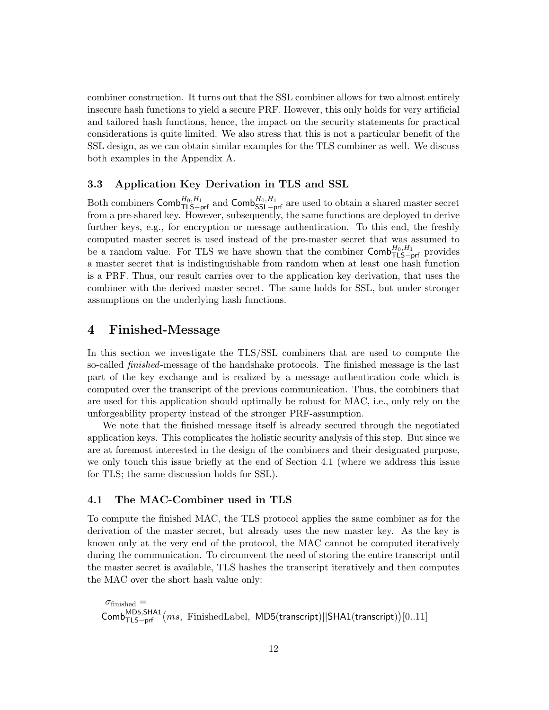combiner construction. It turns out that the SSL combiner allows for two almost entirely insecure hash functions to yield a secure PRF. However, this only holds for very artificial and tailored hash functions, hence, the impact on the security statements for practical considerations is quite limited. We also stress that this is not a particular benefit of the SSL design, as we can obtain similar examples for the TLS combiner as well. We discuss both examples in the Appendix A.

#### 3.3 Application Key Derivation in TLS and SSL

Both combiners  $\textsf{Comb}_{\textsf{TLS-prf}}^{H_0,H_1}$  and  $\textsf{Comb}_{\textsf{SSL-prf}}^{H_0,H_1}$  are used to obtain a shared master secret from a pre-shared key. However, subsequently, the same functions are deployed to derive further keys, e.g., for encryption or message authentication. To this end, the freshly computed master secret is used instead of the pre-master secret that was assumed to be a random value. For TLS we have shown that the combiner  $\textsf{Comb}_{\textsf{TLS-prf}}^{H_0,H_1}$  provides a master secret that is indistinguishable from random when at least one hash function is a PRF. Thus, our result carries over to the application key derivation, that uses the combiner with the derived master secret. The same holds for SSL, but under stronger assumptions on the underlying hash functions.

## 4 Finished-Message

In this section we investigate the TLS/SSL combiners that are used to compute the so-called finished-message of the handshake protocols. The finished message is the last part of the key exchange and is realized by a message authentication code which is computed over the transcript of the previous communication. Thus, the combiners that are used for this application should optimally be robust for MAC, i.e., only rely on the unforgeability property instead of the stronger PRF-assumption.

We note that the finished message itself is already secured through the negotiated application keys. This complicates the holistic security analysis of this step. But since we are at foremost interested in the design of the combiners and their designated purpose, we only touch this issue briefly at the end of Section 4.1 (where we address this issue for TLS; the same discussion holds for SSL).

#### 4.1 The MAC-Combiner used in TLS

To compute the finished MAC, the TLS protocol applies the same combiner as for the derivation of the master secret, but already uses the new master key. As the key is known only at the very end of the protocol, the MAC cannot be computed iteratively during the communication. To circumvent the need of storing the entire transcript until the master secret is available, TLS hashes the transcript iteratively and then computes the MAC over the short hash value only:

```
\sigma_{\text{finished}} =\mathsf{Comb}_{\mathsf{TLS-prf}}^{\mathsf{MD5},\mathsf{SHA1}}(ms,\ \mathsf{FinishedLabel},\ \mathsf{MD5}(\mathsf{transcript})||\mathsf{SHA1}(\mathsf{transcript}))[0..11]
```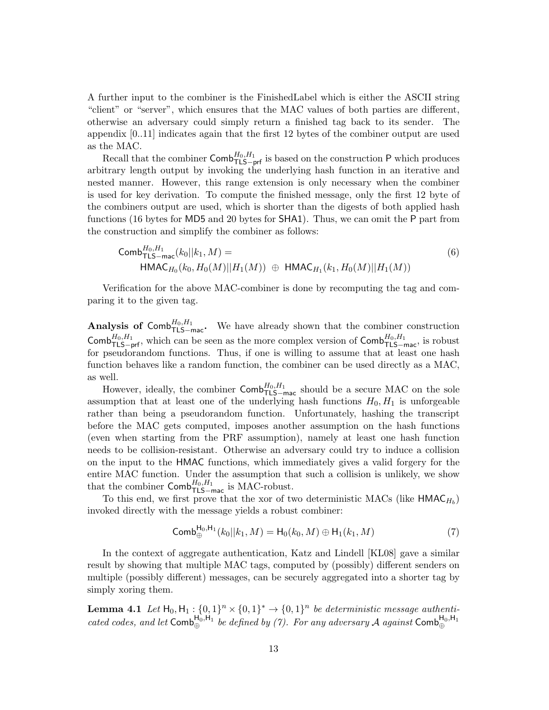A further input to the combiner is the FinishedLabel which is either the ASCII string "client" or "server", which ensures that the MAC values of both parties are different, otherwise an adversary could simply return a finished tag back to its sender. The appendix [0..11] indicates again that the first 12 bytes of the combiner output are used as the MAC.

Recall that the combiner  $\mathsf{Comb}_{\mathsf{TLS}-\mathsf{prf}}^{H_0,H_1}$  is based on the construction P which produces arbitrary length output by invoking the underlying hash function in an iterative and nested manner. However, this range extension is only necessary when the combiner is used for key derivation. To compute the finished message, only the first 12 byte of the combiners output are used, which is shorter than the digests of both applied hash functions (16 bytes for MD5 and 20 bytes for SHA1). Thus, we can omit the P part from the construction and simplify the combiner as follows:

Comb<sup>H<sub>0</sub>,H<sub>1</sub></sup>  
\n
$$
L_{\text{TLS}-\text{mac}}(k_0||k_1, M) =
$$
\n
$$
HMAC_{H_0}(k_0, H_0(M)||H_1(M)) \oplus HMAC_{H_1}(k_1, H_0(M)||H_1(M))
$$
\n(6)

Verification for the above MAC-combiner is done by recomputing the tag and comparing it to the given tag.

Analysis of Comb ${}^{H_0,H_1}_{\text{TLS-mac}}$ . We have already shown that the combiner construction Comb ${}^{H_0,H_1}_{\mathsf{TLS}-\mathsf{prf}}$ , which can be seen as the more complex version of Comb ${}^{H_0,H_1}_{\mathsf{TLS}-\mathsf{mac}}$ , is robust for pseudorandom functions. Thus, if one is willing to assume that at least one hash function behaves like a random function, the combiner can be used directly as a MAC, as well.

However, ideally, the combiner  $\mathsf{Comb}_{\mathsf{TLS}=\mathsf{mac}}^{H_0,H_1}$  should be a secure MAC on the sole assumption that at least one of the underlying hash functions  $H_0, H_1$  is unforgeable rather than being a pseudorandom function. Unfortunately, hashing the transcript before the MAC gets computed, imposes another assumption on the hash functions (even when starting from the PRF assumption), namely at least one hash function needs to be collision-resistant. Otherwise an adversary could try to induce a collision on the input to the HMAC functions, which immediately gives a valid forgery for the entire MAC function. Under the assumption that such a collision is unlikely, we show that the combiner  $\mathsf{Comb}_{\mathsf{TLS-mac}}^{H_0,H_1}$  is MAC-robust.

To this end, we first prove that the xor of two deterministic MACs (like  $\mathsf{HMAC}_{H_b}$ ) invoked directly with the message yields a robust combiner:

$$
\text{Comb}_{\oplus}^{\text{H}_0, \text{H}_1}(k_0||k_1, M) = \text{H}_0(k_0, M) \oplus \text{H}_1(k_1, M) \tag{7}
$$

In the context of aggregate authentication, Katz and Lindell [KL08] gave a similar result by showing that multiple MAC tags, computed by (possibly) different senders on multiple (possibly different) messages, can be securely aggregated into a shorter tag by simply xoring them.

**Lemma 4.1** Let  $H_0, H_1: \{0,1\}^n \times \{0,1\}^* \to \{0,1\}^n$  be deterministic message authenticated codes, and let  $Comb_{\oplus}^{H_0,H_1}$  be defined by (7). For any adversary A against  $Comb_{\oplus}^{H_0,H_1}$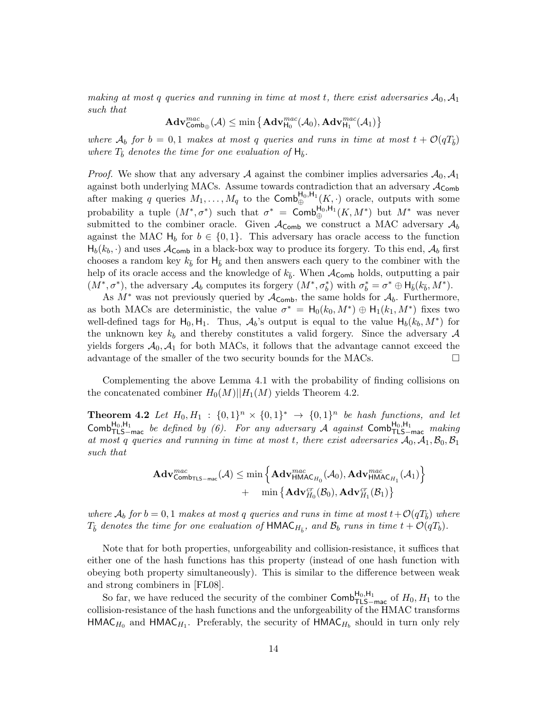making at most q queries and running in time at most t, there exist adversaries  $A_0$ ,  $A_1$ such that

$$
\mathbf{Adv}^{mac}_{\mathsf{Comb}_\oplus}(\mathcal{A}) \leq \min\big\{\mathbf{Adv}^{mac}_{\mathsf{H}_0}(\mathcal{A}_0),\mathbf{Adv}^{mac}_{\mathsf{H}_1}(\mathcal{A}_1)\big\}
$$

where  $\mathcal{A}_b$  for  $b = 0, 1$  makes at most q queries and runs in time at most  $t + \mathcal{O}(qT_{\overline{b}})$ where  $T_{\bar{b}}$  denotes the time for one evaluation of  $H_{\bar{b}}$ .

*Proof.* We show that any adversary A against the combiner implies adversaries  $\mathcal{A}_0$ ,  $\mathcal{A}_1$ against both underlying MACs. Assume towards contradiction that an adversary  $A_{\mathsf{Comb}}$ after making q queries  $M_1, \ldots, M_q$  to the Comb $\bigoplus_{\oplus}^{\mathsf{H}_0, \mathsf{H}_1}(K, \cdot)$  oracle, outputs with some probability a tuple  $(M^*, \sigma^*)$  such that  $\sigma^* = \textsf{Comb}_{\oplus}^{\textsf{H}_0, \textsf{H}_1}(K, M^*)$  but  $M^*$  was never submitted to the combiner oracle. Given  $A_{\mathsf{Comb}}$  we construct a MAC adversary  $A_b$ against the MAC  $H_b$  for  $b \in \{0, 1\}$ . This adversary has oracle access to the function  $H_b(k_b, \cdot)$  and uses  $\mathcal{A}_{\mathsf{Comb}}$  in a black-box way to produce its forgery. To this end,  $\mathcal{A}_b$  first chooses a random key  $k_{\bar{b}}$  for  $H_{\bar{b}}$  and then answers each query to the combiner with the help of its oracle access and the knowledge of  $k_{\bar{b}}$ . When  $A_{\text{Comb}}$  holds, outputting a pair  $(M^*, \sigma^*)$ , the adversary  $\mathcal{A}_b$  computes its forgery  $(M^*, \sigma_b^*)$  with  $\sigma_b^* = \sigma^* \oplus \mathsf{H}_{\bar{b}}(k_{\bar{b}}, M^*)$ .

As  $M^*$  was not previously queried by  $\mathcal{A}_{\mathsf{Comb}}$ , the same holds for  $\mathcal{A}_b$ . Furthermore, as both MACs are deterministic, the value  $\sigma^* = H_0(k_0, M^*) \oplus H_1(k_1, M^*)$  fixes two well-defined tags for  $H_0, H_1$ . Thus,  $\mathcal{A}_b$ 's output is equal to the value  $H_b(k_b, M^*)$  for the unknown key  $k_b$  and thereby constitutes a valid forgery. Since the adversary  $\mathcal A$ yields forgers  $A_0$ ,  $A_1$  for both MACs, it follows that the advantage cannot exceed the advantage of the smaller of the two security bounds for the MACs.  $\Box$ 

Complementing the above Lemma 4.1 with the probability of finding collisions on the concatenated combiner  $H_0(M)|[H_1(M)]$  yields Theorem 4.2.

**Theorem 4.2** Let  $H_0, H_1 : \{0,1\}^n \times \{0,1\}^n \rightarrow \{0,1\}^n$  be hash functions, and let Comb ${}^{H_0,H_1}_{\tau L S-mac}$  be defined by (6). For any adversary A against Comb ${}^{H_0,H_1}_{\tau L S-mac}$  making at most q queries and running in time at most t, there exist adversaries  $A_0$ ,  $A_1$ ,  $B_0$ ,  $B_1$ such that

$$
\begin{aligned} \mathbf{Adv}^{mac}_{\mathsf{Comb}_{\mathsf{TLS-mac}}}(\mathcal{A}) &\leq \min\left\{\mathbf{Adv}^{mac}_{\mathsf{HMAC}_{H_0}}(\mathcal{A}_0),\mathbf{Adv}^{mac}_{\mathsf{HMAC}_{H_1}}(\mathcal{A}_1)\right\} \\ &+\quad \min\left\{\mathbf{Adv}^{cr}_{H_0}(\mathcal{B}_0),\mathbf{Adv}^{cr}_{H_1}(\mathcal{B}_1)\right\} \end{aligned}
$$

where  $\mathcal{A}_b$  for  $b = 0, 1$  makes at most q queries and runs in time at most  $t + \mathcal{O}(qT_{\overline{b}})$  where  $T_{\bar b}$  denotes the time for one evaluation of  ${\sf HMAC}_{H_{\bar b}},$  and  $\mathcal{B}_b$  runs in time  $t + \mathcal{O}(qT_b)$ .

Note that for both properties, unforgeability and collision-resistance, it suffices that either one of the hash functions has this property (instead of one hash function with obeying both property simultaneously). This is similar to the difference between weak and strong combiners in [FL08].

So far, we have reduced the security of the combiner  $\textsf{Comb}_{\textsf{TLS-mac}}^{\textsf{H}_0,\textsf{H}_1}$  of  $H_0, H_1$  to the collision-resistance of the hash functions and the unforgeability of the HMAC transforms  $HMAC_{H_0}$  and  $HMAC_{H_1}$ . Preferably, the security of  $HMAC_{H_b}$  should in turn only rely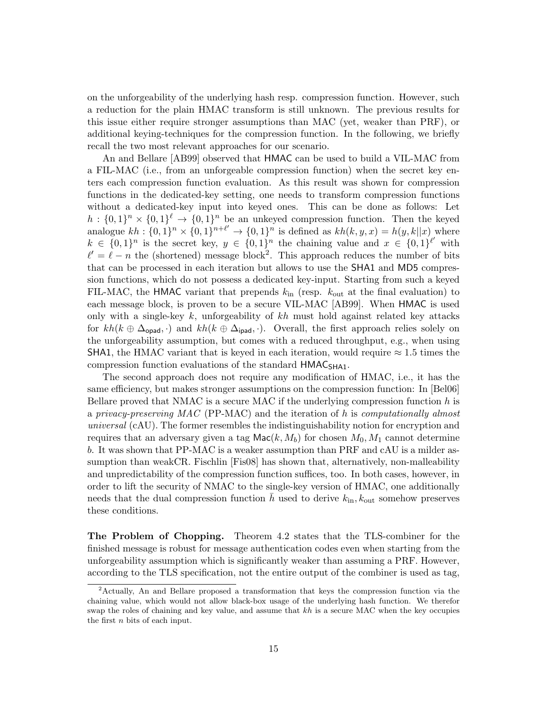on the unforgeability of the underlying hash resp. compression function. However, such a reduction for the plain HMAC transform is still unknown. The previous results for this issue either require stronger assumptions than MAC (yet, weaker than PRF), or additional keying-techniques for the compression function. In the following, we briefly recall the two most relevant approaches for our scenario.

An and Bellare [AB99] observed that HMAC can be used to build a VIL-MAC from a FIL-MAC (i.e., from an unforgeable compression function) when the secret key enters each compression function evaluation. As this result was shown for compression functions in the dedicated-key setting, one needs to transform compression functions without a dedicated-key input into keyed ones. This can be done as follows: Let  $h: \{0,1\}^n \times \{0,1\}^{\ell} \to \{0,1\}^n$  be an unkeyed compression function. Then the keyed analogue  $kh: \{0,1\}^n \times \{0,1\}^{n+\ell'} \rightarrow \{0,1\}^n$  is defined as  $kh(k, y, x) = h(y, k||x)$  where  $k \in \{0,1\}^n$  is the secret key,  $y \in \{0,1\}^n$  the chaining value and  $x \in \{0,1\}^{\ell'}$  with  $\ell' = \ell - n$  the (shortened) message block<sup>2</sup>. This approach reduces the number of bits that can be processed in each iteration but allows to use the SHA1 and MD5 compression functions, which do not possess a dedicated key-input. Starting from such a keyed FIL-MAC, the HMAC variant that prepends  $k_{\text{in}}$  (resp.  $k_{\text{out}}$  at the final evaluation) to each message block, is proven to be a secure VIL-MAC [AB99]. When HMAC is used only with a single-key  $k$ , unforgeability of  $kh$  must hold against related key attacks for  $kh(k \oplus \Delta_{\text{opad}}, \cdot)$  and  $kh(k \oplus \Delta_{\text{ipad}}, \cdot)$ . Overall, the first approach relies solely on the unforgeability assumption, but comes with a reduced throughput, e.g., when using SHA1, the HMAC variant that is keyed in each iteration, would require  $\approx 1.5$  times the compression function evaluations of the standard HMAC<sub>SHA1</sub>.

The second approach does not require any modification of HMAC, i.e., it has the same efficiency, but makes stronger assumptions on the compression function: In [Bel06] Bellare proved that NMAC is a secure MAC if the underlying compression function  $h$  is a privacy-preserving MAC (PP-MAC) and the iteration of h is computationally almost universal (cAU). The former resembles the indistinguishability notion for encryption and requires that an adversary given a tag  $\mathsf{Mac}(k, M_b)$  for chosen  $M_0, M_1$  cannot determine b. It was shown that PP-MAC is a weaker assumption than PRF and cAU is a milder assumption than weakCR. Fischlin [Fis08] has shown that, alternatively, non-malleability and unpredictability of the compression function suffices, too. In both cases, however, in order to lift the security of NMAC to the single-key version of HMAC, one additionally needs that the dual compression function h used to derive  $k_{\text{in}}$ ,  $k_{\text{out}}$  somehow preserves these conditions.

The Problem of Chopping. Theorem 4.2 states that the TLS-combiner for the finished message is robust for message authentication codes even when starting from the unforgeability assumption which is significantly weaker than assuming a PRF. However, according to the TLS specification, not the entire output of the combiner is used as tag,

<sup>2</sup>Actually, An and Bellare proposed a transformation that keys the compression function via the chaining value, which would not allow black-box usage of the underlying hash function. We therefor swap the roles of chaining and key value, and assume that  $kh$  is a secure MAC when the key occupies the first  $n$  bits of each input.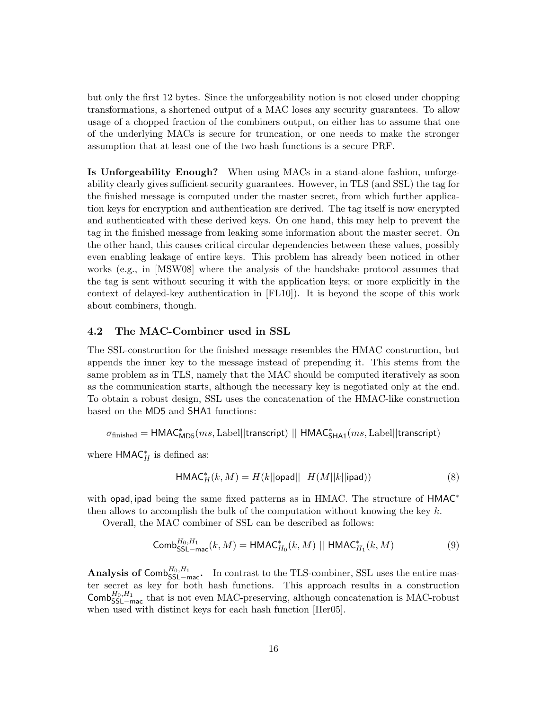but only the first 12 bytes. Since the unforgeability notion is not closed under chopping transformations, a shortened output of a MAC loses any security guarantees. To allow usage of a chopped fraction of the combiners output, on either has to assume that one of the underlying MACs is secure for truncation, or one needs to make the stronger assumption that at least one of the two hash functions is a secure PRF.

Is Unforgeability Enough? When using MACs in a stand-alone fashion, unforgeability clearly gives sufficient security guarantees. However, in TLS (and SSL) the tag for the finished message is computed under the master secret, from which further application keys for encryption and authentication are derived. The tag itself is now encrypted and authenticated with these derived keys. On one hand, this may help to prevent the tag in the finished message from leaking some information about the master secret. On the other hand, this causes critical circular dependencies between these values, possibly even enabling leakage of entire keys. This problem has already been noticed in other works (e.g., in [MSW08] where the analysis of the handshake protocol assumes that the tag is sent without securing it with the application keys; or more explicitly in the context of delayed-key authentication in [FL10]). It is beyond the scope of this work about combiners, though.

#### 4.2 The MAC-Combiner used in SSL

The SSL-construction for the finished message resembles the HMAC construction, but appends the inner key to the message instead of prepending it. This stems from the same problem as in TLS, namely that the MAC should be computed iteratively as soon as the communication starts, although the necessary key is negotiated only at the end. To obtain a robust design, SSL uses the concatenation of the HMAC-like construction based on the MD5 and SHA1 functions:

 $\sigma_{\rm finished} = {\sf HMAC}^*_{\sf MD5}(ms, \text{Label} || \text{transcript}) \; || \; {\sf HMAC}^*_{\sf SHA1}(ms, \text{Label} || \text{transcript})$ 

where  $HMAC_{H}^{*}$  is defined as:

$$
\mathsf{HMAC}_{H}^{*}(k, M) = H(k||\mathsf{opad}|| H(M||k||\mathsf{ipad}))
$$
\n(8)

with opad, ipad being the same fixed patterns as in HMAC. The structure of HMAC<sup>\*</sup> then allows to accomplish the bulk of the computation without knowing the key  $k$ .

Overall, the MAC combiner of SSL can be described as follows:

$$
\mathsf{Comb}_{\mathsf{SSL} - \mathsf{mac}}^{H_0, H_1}(k, M) = \mathsf{HMAC}_{H_0}^*(k, M) \mid \mid \mathsf{HMAC}_{H_1}^*(k, M)
$$
\n
$$
(9)
$$

Analysis of Comb ${}^{H_0,H_1}_{\mathsf{SSL}-\mathsf{mac}}$ . In contrast to the TLS-combiner, SSL uses the entire master secret as key for both hash functions. This approach results in a construction  $\textsf{Comb}_{\textsf{SSL} \text{-}mac}^{H_0, H_1}$  that is not even MAC-preserving, although concatenation is MAC-robust when used with distinct keys for each hash function [Her05].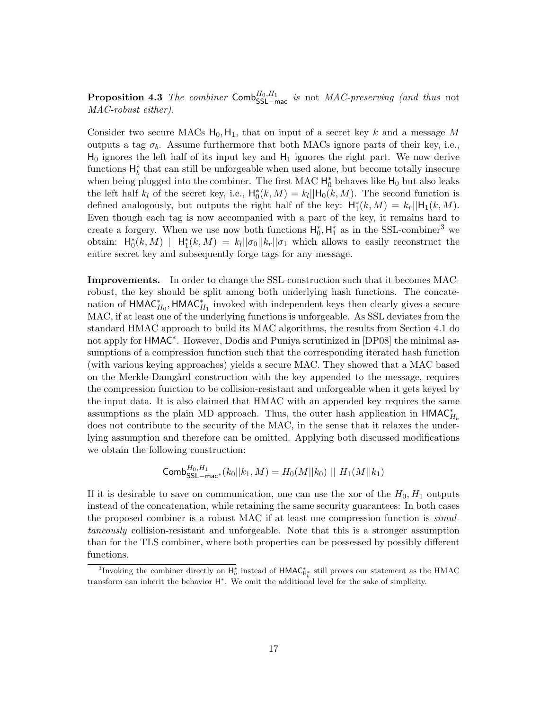**Proposition 4.3** The combiner  $\mathsf{Comb}_{\mathsf{SSL} \text{-} \mathsf{mac}}^{H_0, H_1}$  is not MAC-preserving (and thus not MAC-robust either).

Consider two secure MACs  $H_0, H_1$ , that on input of a secret key k and a message M outputs a tag  $\sigma_b$ . Assume furthermore that both MACs ignore parts of their key, i.e.,  $H_0$  ignores the left half of its input key and  $H_1$  ignores the right part. We now derive functions  $H_b^*$  that can still be unforgeable when used alone, but become totally insecure when being plugged into the combiner. The first MAC  $H_0^*$  behaves like  $H_0$  but also leaks the left half  $k_l$  of the secret key, i.e.,  $H_0^*(k, M) = k_l || H_0(k, M)$ . The second function is defined analogously, but outputs the right half of the key:  $H_1^*(k, M) = k_r ||H_1(k, M)$ . Even though each tag is now accompanied with a part of the key, it remains hard to create a forgery. When we use now both functions  $H_0^*$ ,  $H_1^*$  as in the SSL-combiner<sup>3</sup> we obtain:  $\mathsf{H}_{0}^{*}(k,M)$  ||  $\mathsf{H}_{1}^{*}(k,M) = k_{l}||\sigma_{0}||k_{r}||\sigma_{1}$  which allows to easily reconstruct the entire secret key and subsequently forge tags for any message.

Improvements. In order to change the SSL-construction such that it becomes MACrobust, the key should be split among both underlying hash functions. The concatenation of  $\mathsf{HMAC}^*_{H_0}$ ,  $\mathsf{HMAC}^*_{H_1}$  invoked with independent keys then clearly gives a secure MAC, if at least one of the underlying functions is unforgeable. As SSL deviates from the standard HMAC approach to build its MAC algorithms, the results from Section 4.1 do not apply for HMAC<sup>\*</sup>. However, Dodis and Puniya scrutinized in [DP08] the minimal assumptions of a compression function such that the corresponding iterated hash function (with various keying approaches) yields a secure MAC. They showed that a MAC based on the Merkle-Damgård construction with the key appended to the message, requires the compression function to be collision-resistant and unforgeable when it gets keyed by the input data. It is also claimed that HMAC with an appended key requires the same assumptions as the plain MD approach. Thus, the outer hash application in  $\mathsf{HMAC}^*_{H_b}$ does not contribute to the security of the MAC, in the sense that it relaxes the underlying assumption and therefore can be omitted. Applying both discussed modifications we obtain the following construction:

$$
\mathsf{Comb}_{\mathsf{SSL} - \mathsf{mac}^*}^{H_0, H_1}(k_0||k_1, M) = H_0(M||k_0) \parallel H_1(M||k_1)
$$

If it is desirable to save on communication, one can use the xor of the  $H_0, H_1$  outputs instead of the concatenation, while retaining the same security guarantees: In both cases the proposed combiner is a robust MAC if at least one compression function is simultaneously collision-resistant and unforgeable. Note that this is a stronger assumption than for the TLS combiner, where both properties can be possessed by possibly different functions.

<sup>&</sup>lt;sup>3</sup>Invoking the combiner directly on  $H_b^*$  instead of  $HMAC^*_{H_b^*}$  still proves our statement as the HMAC transform can inherit the behavior  $H^*$ . We omit the additional level for the sake of simplicity.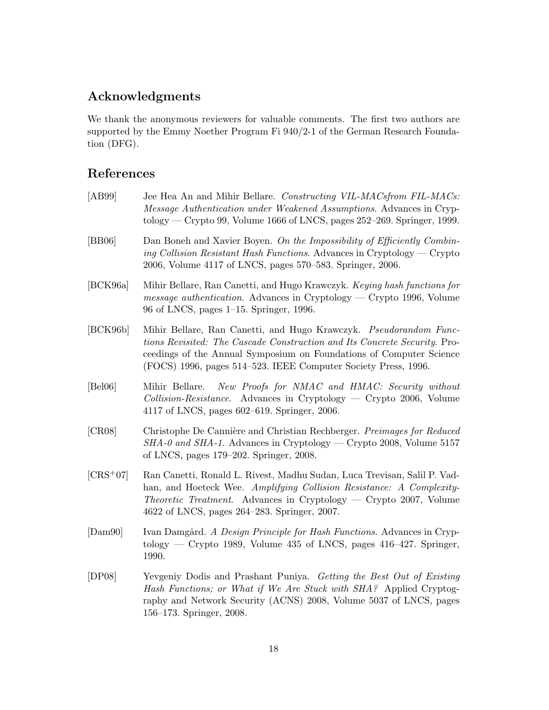# Acknowledgments

We thank the anonymous reviewers for valuable comments. The first two authors are supported by the Emmy Noether Program Fi 940/2-1 of the German Research Foundation (DFG).

# References

| [AB99]     | Jee Hea An and Mihir Bellare. Constructing VIL-MACsfrom FIL-MACs:<br>Message Authentication under Weakened Assumptions. Advances in Cryp-<br>tology — Crypto 99, Volume 1666 of LNCS, pages $252-269$ . Springer, 1999.                                                                 |
|------------|-----------------------------------------------------------------------------------------------------------------------------------------------------------------------------------------------------------------------------------------------------------------------------------------|
| [BB06]     | Dan Boneh and Xavier Boyen. On the Impossibility of Efficiently Combin-<br>ing Collision Resistant Hash Functions. Advances in Cryptology — Crypto<br>2006, Volume 4117 of LNCS, pages 570-583. Springer, 2006.                                                                         |
| [BCK96a]   | Mihir Bellare, Ran Canetti, and Hugo Krawczyk. Keying hash functions for<br><i>message authentication.</i> Advances in Cryptology — Crypto 1996, Volume<br>96 of LNCS, pages 1–15. Springer, 1996.                                                                                      |
| [BCK96b]   | Mihir Bellare, Ran Canetti, and Hugo Krawczyk. Pseudorandom Func-<br>tions Revisited: The Cascade Construction and Its Concrete Security. Pro-<br>ceedings of the Annual Symposium on Foundations of Computer Science<br>(FOCS) 1996, pages 514–523. IEEE Computer Society Press, 1996. |
| [Bel06]    | New Proofs for NMAC and HMAC: Security without<br>Mihir Bellare.<br>$Collision\text{-}Resistance.$ Advances in Cryptology — Crypto 2006, Volume<br>4117 of LNCS, pages 602–619. Springer, 2006.                                                                                         |
| [CR08]     | Christophe De Cannière and Christian Rechberger. Preimages for Reduced<br>$SHA$ -0 and $SHA$ -1. Advances in Cryptology — Crypto 2008, Volume 5157<br>of LNCS, pages 179–202. Springer, 2008.                                                                                           |
| $[CRS+07]$ | Ran Canetti, Ronald L. Rivest, Madhu Sudan, Luca Trevisan, Salil P. Vad-<br>han, and Hoeteck Wee. Amplifying Collision Resistance: A Complexity-<br><i>Theoretic Treatment.</i> Advances in Cryptology — Crypto 2007, Volume<br>4622 of LNCS, pages 264–283. Springer, 2007.            |
| [Dam90]    | Ivan Damgård. A Design Principle for Hash Functions. Advances in Cryp-<br>tology — Crypto 1989, Volume 435 of LNCS, pages $416-427$ . Springer,<br>1990.                                                                                                                                |
| [DP08]     | Yevgeniy Dodis and Prashant Puniya. Getting the Best Out of Existing<br>Hash Functions; or What if We Are Stuck with SHA? Applied Cryptog-<br>raphy and Network Security (ACNS) 2008, Volume 5037 of LNCS, pages<br>156–173. Springer, 2008.                                            |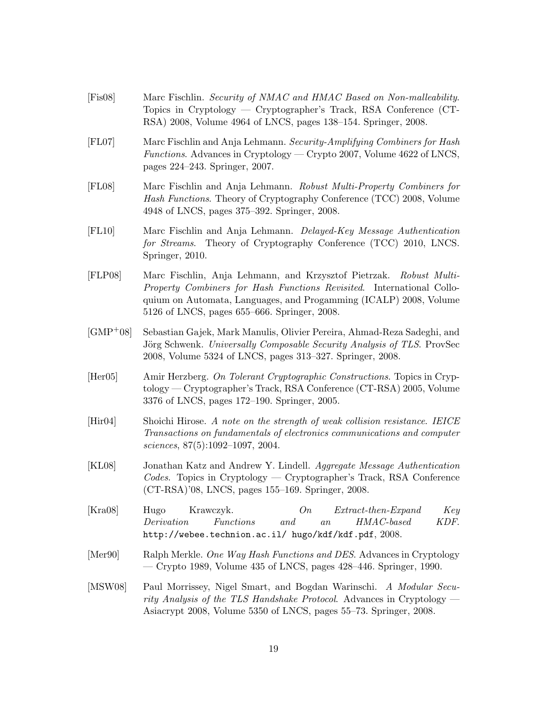[Fis08] Marc Fischlin. Security of NMAC and HMAC Based on Non-malleability. Topics in Cryptology — Cryptographer's Track, RSA Conference (CT-RSA) 2008, Volume 4964 of LNCS, pages 138–154. Springer, 2008. [FL07] Marc Fischlin and Anja Lehmann. Security-Amplifying Combiners for Hash Functions. Advances in Cryptology — Crypto 2007, Volume 4622 of LNCS, pages 224–243. Springer, 2007. [FL08] Marc Fischlin and Anja Lehmann. Robust Multi-Property Combiners for Hash Functions. Theory of Cryptography Conference (TCC) 2008, Volume 4948 of LNCS, pages 375–392. Springer, 2008. [FL10] Marc Fischlin and Anja Lehmann. Delayed-Key Message Authentication for Streams. Theory of Cryptography Conference (TCC) 2010, LNCS. Springer, 2010. [FLP08] Marc Fischlin, Anja Lehmann, and Krzysztof Pietrzak. Robust Multi-Property Combiners for Hash Functions Revisited. International Colloquium on Automata, Languages, and Progamming (ICALP) 2008, Volume 5126 of LNCS, pages 655–666. Springer, 2008. [GMP+08] Sebastian Gajek, Mark Manulis, Olivier Pereira, Ahmad-Reza Sadeghi, and Jörg Schwenk. Universally Composable Security Analysis of TLS. ProvSec 2008, Volume 5324 of LNCS, pages 313–327. Springer, 2008. [Her05] Amir Herzberg. On Tolerant Cryptographic Constructions. Topics in Cryptology — Cryptographer's Track, RSA Conference (CT-RSA) 2005, Volume 3376 of LNCS, pages 172–190. Springer, 2005. [Hir04] Shoichi Hirose. A note on the strength of weak collision resistance. IEICE Transactions on fundamentals of electronics communications and computer sciences, 87(5):1092–1097, 2004. [KL08] Jonathan Katz and Andrew Y. Lindell. Aggregate Message Authentication Codes. Topics in Cryptology — Cryptographer's Track, RSA Conference (CT-RSA)'08, LNCS, pages 155–169. Springer, 2008. [Kra08] Hugo Krawczyk. On Extract-then-Expand Key Derivation Functions and an HMAC-based KDF. http://webee.technion.ac.il/ hugo/kdf/kdf.pdf, 2008. [Mer90] Ralph Merkle. One Way Hash Functions and DES. Advances in Cryptology — Crypto 1989, Volume 435 of LNCS, pages 428–446. Springer, 1990. [MSW08] Paul Morrissey, Nigel Smart, and Bogdan Warinschi. A Modular Security Analysis of the TLS Handshake Protocol. Advances in Cryptology — Asiacrypt 2008, Volume 5350 of LNCS, pages 55–73. Springer, 2008.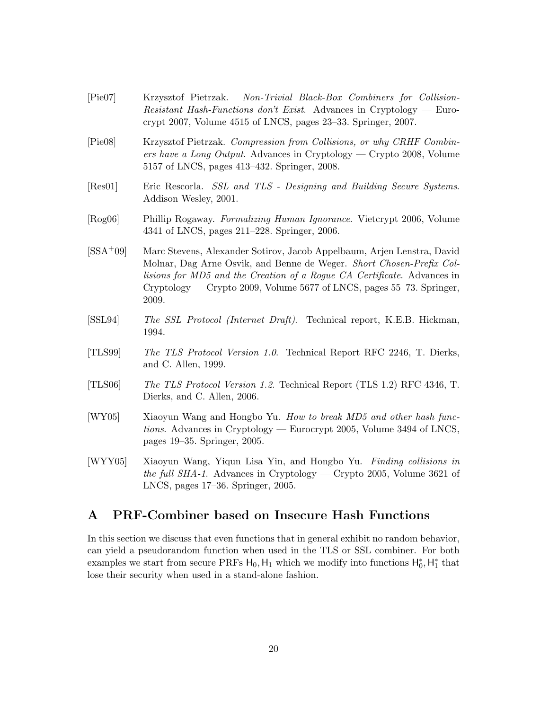- [Pie07] Krzysztof Pietrzak. Non-Trivial Black-Box Combiners for Collision-Resistant Hash-Functions don't Exist. Advances in Cryptology — Eurocrypt 2007, Volume 4515 of LNCS, pages 23–33. Springer, 2007. [Pie08] Krzysztof Pietrzak. Compression from Collisions, or why CRHF Combiners have a Long Output. Advances in Cryptology — Crypto 2008, Volume 5157 of LNCS, pages 413–432. Springer, 2008. [Res01] Eric Rescorla. SSL and TLS - Designing and Building Secure Systems. Addison Wesley, 2001. [Rog06] Phillip Rogaway. Formalizing Human Ignorance. Vietcrypt 2006, Volume 4341 of LNCS, pages 211–228. Springer, 2006. [SSA+09] Marc Stevens, Alexander Sotirov, Jacob Appelbaum, Arjen Lenstra, David Molnar, Dag Arne Osvik, and Benne de Weger. Short Chosen-Prefix Collisions for MD5 and the Creation of a Rogue CA Certificate. Advances in Cryptology — Crypto 2009, Volume 5677 of LNCS, pages 55–73. Springer, 2009. [SSL94] The SSL Protocol (Internet Draft). Technical report, K.E.B. Hickman, 1994. [TLS99] The TLS Protocol Version 1.0. Technical Report RFC 2246, T. Dierks, and C. Allen, 1999. [TLS06] The TLS Protocol Version 1.2. Technical Report (TLS 1.2) RFC 4346, T. Dierks, and C. Allen, 2006.
- [WY05] Xiaoyun Wang and Hongbo Yu. How to break MD5 and other hash functions. Advances in Cryptology — Eurocrypt 2005, Volume 3494 of LNCS, pages 19–35. Springer, 2005.
- [WYY05] Xiaoyun Wang, Yiqun Lisa Yin, and Hongbo Yu. Finding collisions in the full SHA-1. Advances in Cryptology — Crypto 2005, Volume 3621 of LNCS, pages 17–36. Springer, 2005.

## A PRF-Combiner based on Insecure Hash Functions

In this section we discuss that even functions that in general exhibit no random behavior, can yield a pseudorandom function when used in the TLS or SSL combiner. For both examples we start from secure PRFs  $H_0$ ,  $H_1$  which we modify into functions  $H_0^*$ ,  $H_1^*$  that lose their security when used in a stand-alone fashion.